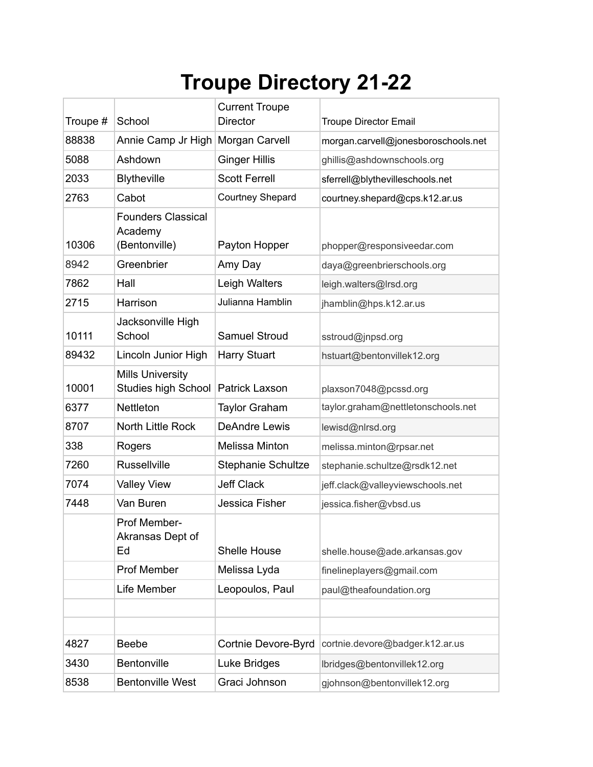## **Troupe Directory 21-22**

| Troupe # | School                                                | <b>Current Troupe</b><br><b>Director</b> | <b>Troupe Director Email</b>        |
|----------|-------------------------------------------------------|------------------------------------------|-------------------------------------|
| 88838    | Annie Camp Jr High                                    | Morgan Carvell                           | morgan.carvell@jonesboroschools.net |
| 5088     | Ashdown                                               | <b>Ginger Hillis</b>                     | ghillis@ashdownschools.org          |
| 2033     | <b>Blytheville</b>                                    | <b>Scott Ferrell</b>                     | sferrell@blythevilleschools.net     |
| 2763     | Cabot                                                 | <b>Courtney Shepard</b>                  | courtney.shepard@cps.k12.ar.us      |
| 10306    | <b>Founders Classical</b><br>Academy<br>(Bentonville) | Payton Hopper                            | phopper@responsiveedar.com          |
| 8942     | Greenbrier                                            | Amy Day                                  | daya@greenbrierschools.org          |
| 7862     | Hall                                                  | Leigh Walters                            | leigh.walters@lrsd.org              |
| 2715     | Harrison                                              | Julianna Hamblin                         | jhamblin@hps.k12.ar.us              |
| 10111    | Jacksonville High<br>School                           | <b>Samuel Stroud</b>                     | sstroud@jnpsd.org                   |
| 89432    | Lincoln Junior High                                   | <b>Harry Stuart</b>                      | hstuart@bentonvillek12.org          |
| 10001    | <b>Mills University</b><br><b>Studies high School</b> | <b>Patrick Laxson</b>                    | plaxson7048@pcssd.org               |
| 6377     | Nettleton                                             | <b>Taylor Graham</b>                     | taylor.graham@nettletonschools.net  |
| 8707     | North Little Rock                                     | <b>DeAndre Lewis</b>                     | lewisd@nlrsd.org                    |
| 338      | Rogers                                                | <b>Melissa Minton</b>                    | melissa.minton@rpsar.net            |
| 7260     | <b>Russellville</b>                                   | Stephanie Schultze                       | stephanie.schultze@rsdk12.net       |
| 7074     | <b>Valley View</b>                                    | <b>Jeff Clack</b>                        | jeff.clack@valleyviewschools.net    |
| 7448     | Van Buren                                             | Jessica Fisher                           | jessica.fisher@vbsd.us              |
|          | <b>Prof Member-</b><br>Akransas Dept of<br>Ed         | Shelle House                             | shelle.house@ade.arkansas.gov       |
|          | <b>Prof Member</b>                                    | Melissa Lyda                             | finelineplayers@gmail.com           |
|          | Life Member                                           | Leopoulos, Paul                          | paul@theafoundation.org             |
|          |                                                       |                                          |                                     |
|          |                                                       |                                          |                                     |
| 4827     | <b>Beebe</b>                                          | Cortnie Devore-Byrd                      | cortnie.devore@badger.k12.ar.us     |
| 3430     | Bentonville                                           | Luke Bridges                             | lbridges@bentonvillek12.org         |
| 8538     | <b>Bentonville West</b>                               | Graci Johnson                            | gjohnson@bentonvillek12.org         |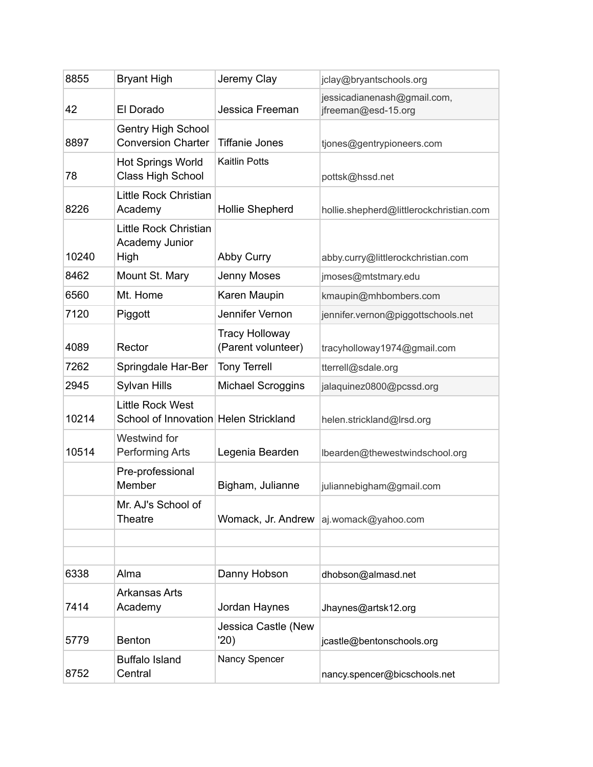| 8855  | <b>Bryant High</b>                                               | Jeremy Clay                                 | jclay@bryantschools.org                            |
|-------|------------------------------------------------------------------|---------------------------------------------|----------------------------------------------------|
| 42    | El Dorado                                                        | Jessica Freeman                             | jessicadianenash@gmail.com,<br>jfreeman@esd-15.org |
| 8897  | <b>Gentry High School</b><br><b>Conversion Charter</b>           | <b>Tiffanie Jones</b>                       | tjones@gentrypioneers.com                          |
| 78    | <b>Hot Springs World</b><br><b>Class High School</b>             | <b>Kaitlin Potts</b>                        | pottsk@hssd.net                                    |
| 8226  | Little Rock Christian<br>Academy                                 | <b>Hollie Shepherd</b>                      | hollie.shepherd@littlerockchristian.com            |
| 10240 | Little Rock Christian<br>Academy Junior<br>High                  | Abby Curry                                  | abby.curry@littlerockchristian.com                 |
| 8462  | Mount St. Mary                                                   | Jenny Moses                                 | jmoses@mtstmary.edu                                |
| 6560  | Mt. Home                                                         | Karen Maupin                                | kmaupin@mhbombers.com                              |
| 7120  | Piggott                                                          | Jennifer Vernon                             | jennifer.vernon@piggottschools.net                 |
| 4089  | Rector                                                           | <b>Tracy Holloway</b><br>(Parent volunteer) | tracyholloway1974@gmail.com                        |
| 7262  | Springdale Har-Ber                                               | <b>Tony Terrell</b>                         | tterrell@sdale.org                                 |
| 2945  | Sylvan Hills                                                     | Michael Scroggins                           | jalaquinez0800@pcssd.org                           |
| 10214 | <b>Little Rock West</b><br>School of Innovation Helen Strickland |                                             | helen.strickland@lrsd.org                          |
| 10514 | Westwind for<br><b>Performing Arts</b>                           | Legenia Bearden                             | lbearden@thewestwindschool.org                     |
|       | Pre-professional<br>Member                                       | Bigham, Julianne                            | juliannebigham@gmail.com                           |
|       | Mr. AJ's School of<br>Theatre                                    |                                             | Womack, Jr. Andrew   aj.womack@yahoo.com           |
|       |                                                                  |                                             |                                                    |
| 6338  | Alma                                                             | Danny Hobson                                | dhobson@almasd.net                                 |
| 7414  | <b>Arkansas Arts</b><br>Academy                                  | Jordan Haynes                               | Jhaynes@artsk12.org                                |
| 5779  | <b>Benton</b>                                                    | Jessica Castle (New<br>'20)                 | jcastle@bentonschools.org                          |
| 8752  | <b>Buffalo Island</b><br>Central                                 | Nancy Spencer                               | nancy.spencer@bicschools.net                       |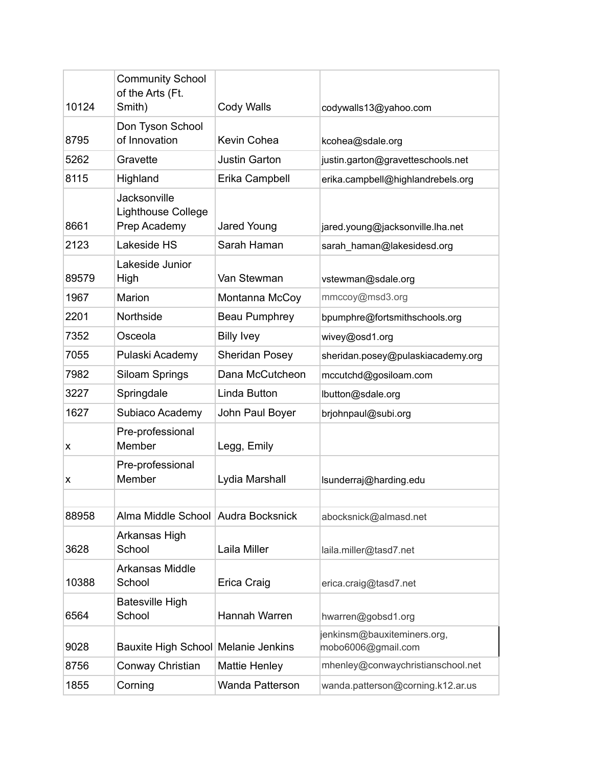| 10124 | <b>Community School</b><br>of the Arts (Ft.<br>Smith)     | <b>Cody Walls</b>     | codywalls13@yahoo.com                             |
|-------|-----------------------------------------------------------|-----------------------|---------------------------------------------------|
| 8795  | Don Tyson School<br>of Innovation                         | Kevin Cohea           | kcohea@sdale.org                                  |
| 5262  | Gravette                                                  | <b>Justin Garton</b>  | justin.garton@gravetteschools.net                 |
| 8115  | Highland                                                  | Erika Campbell        | erika.campbell@highlandrebels.org                 |
| 8661  | Jacksonville<br><b>Lighthouse College</b><br>Prep Academy | Jared Young           | jared.young@jacksonville.lha.net                  |
| 2123  | Lakeside HS                                               | Sarah Haman           | sarah_haman@lakesidesd.org                        |
| 89579 | Lakeside Junior<br>High                                   | Van Stewman           | vstewman@sdale.org                                |
| 1967  | Marion                                                    | Montanna McCoy        | mmccoy@msd3.org                                   |
| 2201  | Northside                                                 | Beau Pumphrey         | bpumphre@fortsmithschools.org                     |
| 7352  | Osceola                                                   | <b>Billy Ivey</b>     | wivey@osd1.org                                    |
| 7055  | Pulaski Academy                                           | <b>Sheridan Posey</b> | sheridan.posey@pulaskiacademy.org                 |
| 7982  | <b>Siloam Springs</b>                                     | Dana McCutcheon       | mccutchd@gosiloam.com                             |
| 3227  | Springdale                                                | Linda Button          | lbutton@sdale.org                                 |
| 1627  | Subiaco Academy                                           | John Paul Boyer       | brjohnpaul@subi.org                               |
| х     | Pre-professional<br>Member                                | Legg, Emily           |                                                   |
| х     | Pre-professional<br>Member                                | Lydia Marshall        | Isunderraj@harding.edu                            |
|       |                                                           |                       |                                                   |
| 88958 | Alma Middle School Audra Bocksnick                        |                       | abocksnick@almasd.net                             |
| 3628  | Arkansas High<br>School                                   | Laila Miller          | laila.miller@tasd7.net                            |
| 10388 | Arkansas Middle<br>School                                 | Erica Craig           | erica.craig@tasd7.net                             |
| 6564  | <b>Batesville High</b><br>School                          | Hannah Warren         | hwarren@gobsd1.org                                |
| 9028  | Bauxite High School Melanie Jenkins                       |                       | jenkinsm@bauxiteminers.org,<br>mobo6006@gmail.com |
| 8756  | Conway Christian                                          | <b>Mattie Henley</b>  | mhenley@conwaychristianschool.net                 |
| 1855  | Corning                                                   | Wanda Patterson       | wanda.patterson@corning.k12.ar.us                 |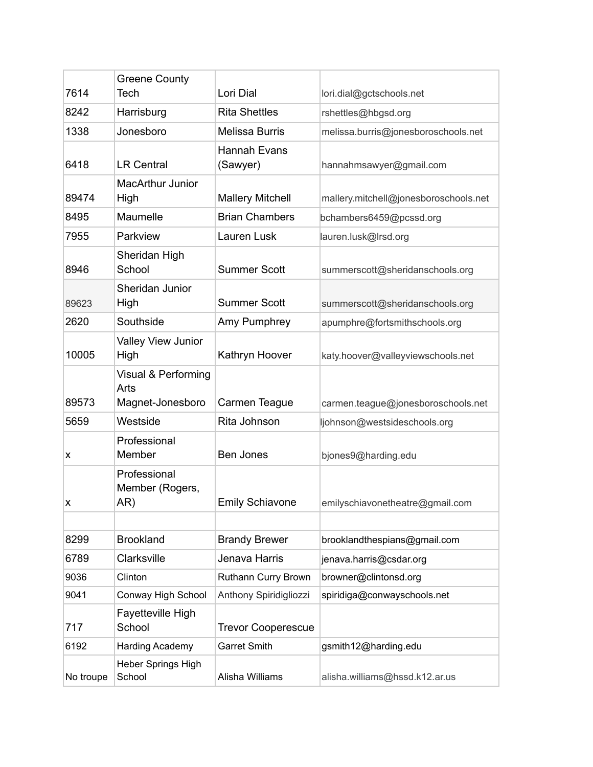| 7614      | <b>Greene County</b><br>Tech                    | Lori Dial                 |                                       |
|-----------|-------------------------------------------------|---------------------------|---------------------------------------|
|           |                                                 |                           | lori.dial@gctschools.net              |
| 8242      | Harrisburg                                      | <b>Rita Shettles</b>      | rshettles@hbgsd.org                   |
| 1338      | Jonesboro                                       | <b>Melissa Burris</b>     | melissa.burris@jonesboroschools.net   |
| 6418      | <b>LR Central</b>                               | Hannah Evans<br>(Sawyer)  | hannahmsawyer@gmail.com               |
| 89474     | <b>MacArthur Junior</b><br>High                 | <b>Mallery Mitchell</b>   | mallery.mitchell@jonesboroschools.net |
| 8495      | Maumelle                                        | <b>Brian Chambers</b>     | bchambers6459@pcssd.org               |
| 7955      | Parkview                                        | Lauren Lusk               | lauren.lusk@lrsd.org                  |
| 8946      | Sheridan High<br>School                         | <b>Summer Scott</b>       | summerscott@sheridanschools.org       |
| 89623     | Sheridan Junior<br>High                         | <b>Summer Scott</b>       | summerscott@sheridanschools.org       |
| 2620      | Southside                                       | Amy Pumphrey              | apumphre@fortsmithschools.org         |
| 10005     | Valley View Junior<br>High                      | Kathryn Hoover            | katy.hoover@valleyviewschools.net     |
| 89573     | Visual & Performing<br>Arts<br>Magnet-Jonesboro | Carmen Teague             | carmen.teague@jonesboroschools.net    |
| 5659      | Westside                                        | Rita Johnson              | ljohnson@westsideschools.org          |
| x         | Professional<br>Member                          | <b>Ben Jones</b>          | bjones9@harding.edu                   |
| x         | Professional<br>Member (Rogers,<br>AR)          | <b>Emily Schiavone</b>    | emilyschiavonetheatre@gmail.com       |
|           |                                                 |                           |                                       |
| 8299      | <b>Brookland</b>                                | <b>Brandy Brewer</b>      | brooklandthespians@gmail.com          |
| 6789      | Clarksville                                     | Jenava Harris             | jenava.harris@csdar.org               |
| 9036      | Clinton                                         | Ruthann Curry Brown       | browner@clintonsd.org                 |
| 9041      | Conway High School                              | Anthony Spiridigliozzi    | spiridiga@conwayschools.net           |
| 717       | Fayetteville High<br>School                     | <b>Trevor Cooperescue</b> |                                       |
| 6192      | <b>Harding Academy</b>                          | <b>Garret Smith</b>       | gsmith12@harding.edu                  |
| No troupe | Heber Springs High<br>School                    | Alisha Williams           | alisha.williams@hssd.k12.ar.us        |